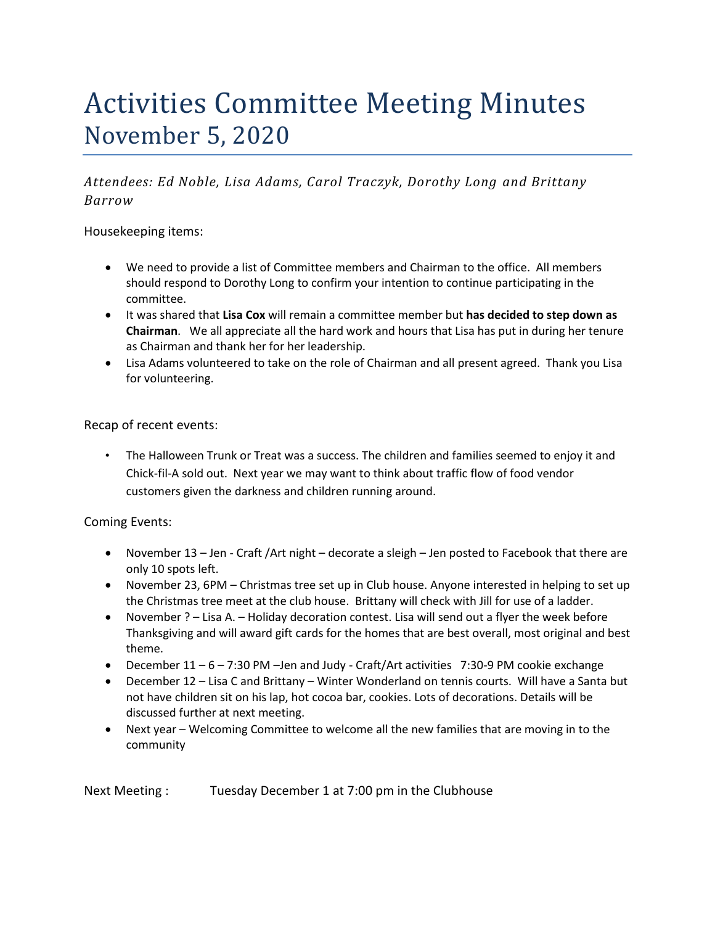# Activities Committee Meeting Minutes November 5, 2020

*Attendees: Ed Noble, Lisa Adams, Carol Traczyk, Dorothy Long and Brittany Barrow*

Housekeeping items:

- We need to provide a list of Committee members and Chairman to the office. All members should respond to Dorothy Long to confirm your intention to continue participating in the committee.
- It was shared that **Lisa Cox** will remain a committee member but **has decided to step down as Chairman**. We all appreciate all the hard work and hours that Lisa has put in during her tenure as Chairman and thank her for her leadership.
- Lisa Adams volunteered to take on the role of Chairman and all present agreed. Thank you Lisa for volunteering.

Recap of recent events:

• The Halloween Trunk or Treat was a success. The children and families seemed to enjoy it and Chick-fil-A sold out. Next year we may want to think about traffic flow of food vendor customers given the darkness and children running around.

Coming Events:

- November 13 Jen Craft / Art night decorate a sleigh Jen posted to Facebook that there are only 10 spots left.
- November 23, 6PM Christmas tree set up in Club house. Anyone interested in helping to set up the Christmas tree meet at the club house. Brittany will check with Jill for use of a ladder.
- November ? Lisa A. Holiday decoration contest. Lisa will send out a flyer the week before Thanksgiving and will award gift cards for the homes that are best overall, most original and best theme.
- December 11 6 7:30 PM Jen and Judy Craft/Art activities 7:30-9 PM cookie exchange
- December 12 Lisa C and Brittany Winter Wonderland on tennis courts. Will have a Santa but not have children sit on his lap, hot cocoa bar, cookies. Lots of decorations. Details will be discussed further at next meeting.
- Next year Welcoming Committee to welcome all the new families that are moving in to the community

Next Meeting : Tuesday December 1 at 7:00 pm in the Clubhouse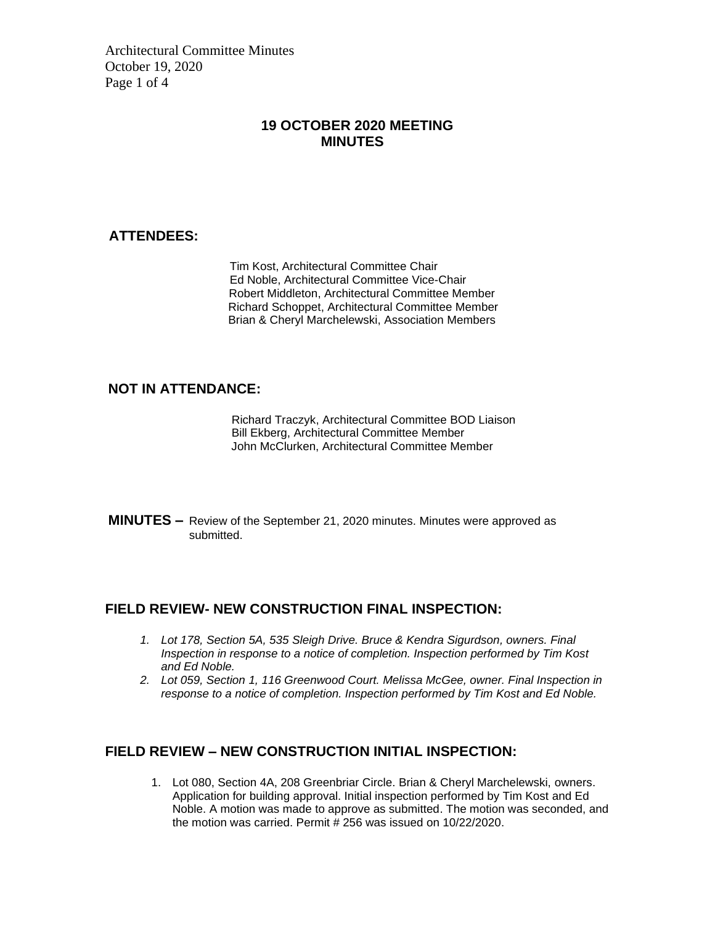Architectural Committee Minutes October 19, 2020 Page 1 of 4

### **19 OCTOBER 2020 MEETING MINUTES**

#### **ATTENDEES:**

Tim Kost, Architectural Committee Chair Ed Noble, Architectural Committee Vice-Chair Robert Middleton, Architectural Committee Member Richard Schoppet, Architectural Committee Member Brian & Cheryl Marchelewski, Association Members

#### **NOT IN ATTENDANCE:**

Richard Traczyk, Architectural Committee BOD Liaison **Bill Ekberg, Architectural Committee Member** John McClurken, Architectural Committee Member

**MINUTES –** Review of the September 21, 2020 minutes. Minutes were approved as submitted.

#### **FIELD REVIEW- NEW CONSTRUCTION FINAL INSPECTION:**

- *1. Lot 178, Section 5A, 535 Sleigh Drive. Bruce & Kendra Sigurdson, owners. Final Inspection in response to a notice of completion. Inspection performed by Tim Kost and Ed Noble.*
- *2. Lot 059, Section 1, 116 Greenwood Court. Melissa McGee, owner. Final Inspection in response to a notice of completion. Inspection performed by Tim Kost and Ed Noble.*

### **FIELD REVIEW – NEW CONSTRUCTION INITIAL INSPECTION:**

1. Lot 080, Section 4A, 208 Greenbriar Circle. Brian & Cheryl Marchelewski, owners. Application for building approval. Initial inspection performed by Tim Kost and Ed Noble. A motion was made to approve as submitted. The motion was seconded, and the motion was carried. Permit  $\# 256$  was issued on 10/22/2020.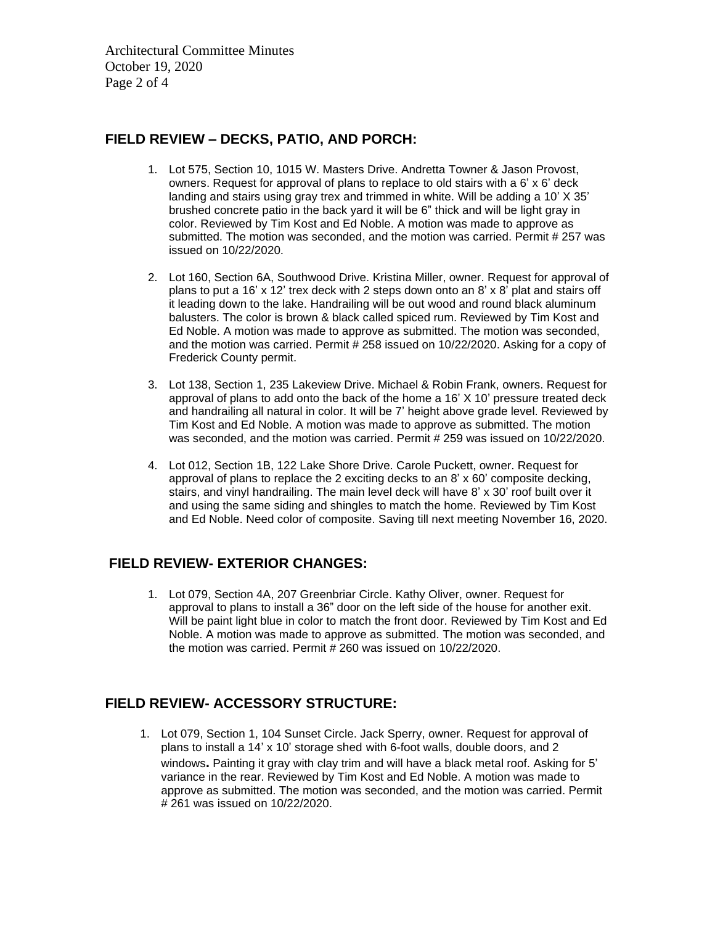Architectural Committee Minutes October 19, 2020 Page 2 of 4

### **FIELD REVIEW – DECKS, PATIO, AND PORCH:**

- 1. Lot 575, Section 10, 1015 W. Masters Drive. Andretta Towner & Jason Provost, owners. Request for approval of plans to replace to old stairs with a 6' x 6' deck landing and stairs using gray trex and trimmed in white. Will be adding a 10' X 35' brushed concrete patio in the back yard it will be 6" thick and will be light gray in color. Reviewed by Tim Kost and Ed Noble. A motion was made to approve as submitted. The motion was seconded, and the motion was carried. Permit # 257 was issued on 10/22/2020.
- 2. Lot 160, Section 6A, Southwood Drive. Kristina Miller, owner. Request for approval of plans to put a 16' x 12' trex deck with 2 steps down onto an 8' x 8' plat and stairs off it leading down to the lake. Handrailing will be out wood and round black aluminum balusters. The color is brown & black called spiced rum. Reviewed by Tim Kost and Ed Noble. A motion was made to approve as submitted. The motion was seconded, and the motion was carried. Permit # 258 issued on 10/22/2020. Asking for a copy of Frederick County permit.
- 3. Lot 138, Section 1, 235 Lakeview Drive. Michael & Robin Frank, owners. Request for approval of plans to add onto the back of the home a 16' X 10' pressure treated deck and handrailing all natural in color. It will be 7' height above grade level. Reviewed by Tim Kost and Ed Noble. A motion was made to approve as submitted. The motion was seconded, and the motion was carried. Permit # 259 was issued on 10/22/2020.
- 4. Lot 012, Section 1B, 122 Lake Shore Drive. Carole Puckett, owner. Request for approval of plans to replace the 2 exciting decks to an  $8' \times 60'$  composite decking, stairs, and vinyl handrailing. The main level deck will have 8' x 30' roof built over it and using the same siding and shingles to match the home. Reviewed by Tim Kost and Ed Noble. Need color of composite. Saving till next meeting November 16, 2020.

### **FIELD REVIEW- EXTERIOR CHANGES:**

1. Lot 079, Section 4A, 207 Greenbriar Circle. Kathy Oliver, owner. Request for approval to plans to install a 36" door on the left side of the house for another exit. Will be paint light blue in color to match the front door. Reviewed by Tim Kost and Ed Noble. A motion was made to approve as submitted. The motion was seconded, and the motion was carried. Permit # 260 was issued on 10/22/2020.

### **FIELD REVIEW- ACCESSORY STRUCTURE:**

1. Lot 079, Section 1, 104 Sunset Circle. Jack Sperry, owner. Request for approval of plans to install a 14' x 10' storage shed with 6-foot walls, double doors, and 2 windows**.** Painting it gray with clay trim and will have a black metal roof. Asking for 5' variance in the rear. Reviewed by Tim Kost and Ed Noble. A motion was made to approve as submitted. The motion was seconded, and the motion was carried. Permit # 261 was issued on 10/22/2020.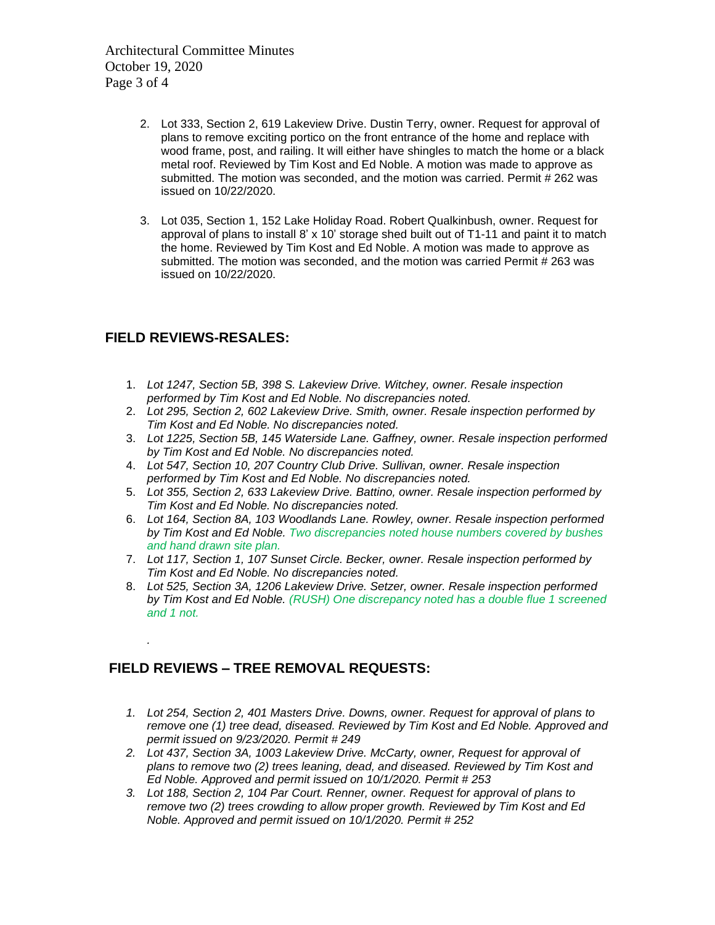Architectural Committee Minutes October 19, 2020 Page 3 of 4

- 2. Lot 333, Section 2, 619 Lakeview Drive. Dustin Terry, owner. Request for approval of plans to remove exciting portico on the front entrance of the home and replace with wood frame, post, and railing. It will either have shingles to match the home or a black metal roof. Reviewed by Tim Kost and Ed Noble. A motion was made to approve as submitted. The motion was seconded, and the motion was carried. Permit # 262 was issued on 10/22/2020.
- 3. Lot 035, Section 1, 152 Lake Holiday Road. Robert Qualkinbush, owner. Request for approval of plans to install 8' x 10' storage shed built out of T1-11 and paint it to match the home. Reviewed by Tim Kost and Ed Noble. A motion was made to approve as submitted. The motion was seconded, and the motion was carried Permit # 263 was issued on 10/22/2020.

### **FIELD REVIEWS-RESALES:**

*.*

- 1. *Lot 1247, Section 5B, 398 S. Lakeview Drive. Witchey, owner. Resale inspection performed by Tim Kost and Ed Noble. No discrepancies noted.*
- 2. *Lot 295, Section 2, 602 Lakeview Drive. Smith, owner. Resale inspection performed by Tim Kost and Ed Noble. No discrepancies noted.*
- 3. *Lot 1225, Section 5B, 145 Waterside Lane. Gaffney, owner. Resale inspection performed by Tim Kost and Ed Noble. No discrepancies noted.*
- 4. *Lot 547, Section 10, 207 Country Club Drive. Sullivan, owner. Resale inspection performed by Tim Kost and Ed Noble. No discrepancies noted.*
- 5. *Lot 355, Section 2, 633 Lakeview Drive. Battino, owner. Resale inspection performed by Tim Kost and Ed Noble. No discrepancies noted.*
- 6. *Lot 164, Section 8A, 103 Woodlands Lane. Rowley, owner. Resale inspection performed by Tim Kost and Ed Noble. Two discrepancies noted house numbers covered by bushes and hand drawn site plan.*
- 7. *Lot 117, Section 1, 107 Sunset Circle. Becker, owner. Resale inspection performed by Tim Kost and Ed Noble. No discrepancies noted.*
- 8. *Lot 525, Section 3A, 1206 Lakeview Drive. Setzer, owner. Resale inspection performed by Tim Kost and Ed Noble. (RUSH) One discrepancy noted has a double flue 1 screened and 1 not.*

### **FIELD REVIEWS – TREE REMOVAL REQUESTS:**

- *1. Lot 254, Section 2, 401 Masters Drive. Downs, owner. Request for approval of plans to remove one (1) tree dead, diseased. Reviewed by Tim Kost and Ed Noble. Approved and permit issued on 9/23/2020. Permit # 249*
- *2. Lot 437, Section 3A, 1003 Lakeview Drive. McCarty, owner, Request for approval of plans to remove two (2) trees leaning, dead, and diseased. Reviewed by Tim Kost and Ed Noble. Approved and permit issued on 10/1/2020. Permit # 253*
- *3. Lot 188, Section 2, 104 Par Court. Renner, owner. Request for approval of plans to remove two (2) trees crowding to allow proper growth. Reviewed by Tim Kost and Ed Noble. Approved and permit issued on 10/1/2020. Permit # 252*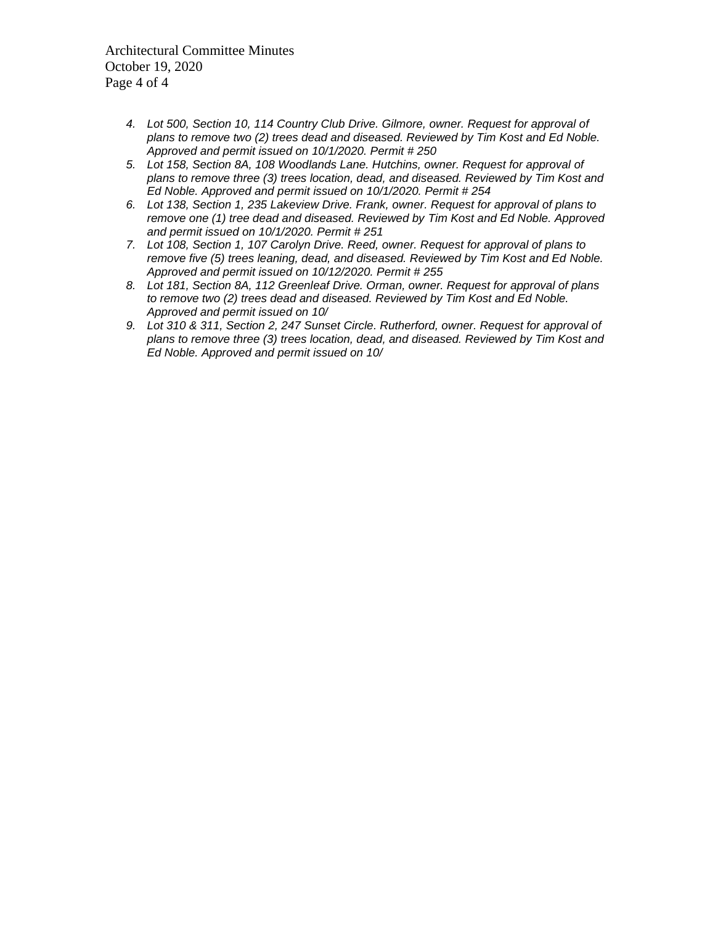Architectural Committee Minutes October 19, 2020 Page 4 of 4

- *4. Lot 500, Section 10, 114 Country Club Drive. Gilmore, owner. Request for approval of plans to remove two (2) trees dead and diseased. Reviewed by Tim Kost and Ed Noble. Approved and permit issued on 10/1/2020. Permit # 250*
- *5. Lot 158, Section 8A, 108 Woodlands Lane. Hutchins, owner. Request for approval of plans to remove three (3) trees location, dead, and diseased. Reviewed by Tim Kost and Ed Noble. Approved and permit issued on 10/1/2020. Permit # 254*
- *6. Lot 138, Section 1, 235 Lakeview Drive. Frank, owner. Request for approval of plans to remove one (1) tree dead and diseased. Reviewed by Tim Kost and Ed Noble. Approved and permit issued on 10/1/2020. Permit # 251*
- *7. Lot 108, Section 1, 107 Carolyn Drive. Reed, owner. Request for approval of plans to remove five (5) trees leaning, dead, and diseased. Reviewed by Tim Kost and Ed Noble. Approved and permit issued on 10/12/2020. Permit # 255*
- *8. Lot 181, Section 8A, 112 Greenleaf Drive. Orman, owner. Request for approval of plans to remove two (2) trees dead and diseased. Reviewed by Tim Kost and Ed Noble. Approved and permit issued on 10/*
- *9. Lot 310 & 311, Section 2, 247 Sunset Circle. Rutherford, owner. Request for approval of plans to remove three (3) trees location, dead, and diseased. Reviewed by Tim Kost and Ed Noble. Approved and permit issued on 10/*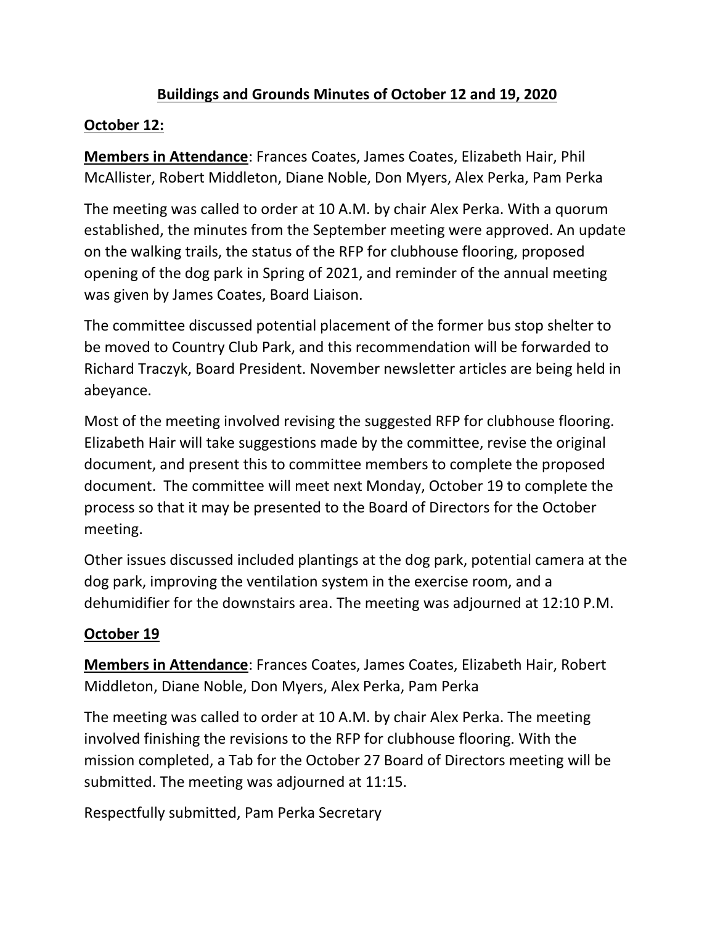### **Buildings and Grounds Minutes of October 12 and 19, 2020**

### **October 12:**

**Members in Attendance**: Frances Coates, James Coates, Elizabeth Hair, Phil McAllister, Robert Middleton, Diane Noble, Don Myers, Alex Perka, Pam Perka

The meeting was called to order at 10 A.M. by chair Alex Perka. With a quorum established, the minutes from the September meeting were approved. An update on the walking trails, the status of the RFP for clubhouse flooring, proposed opening of the dog park in Spring of 2021, and reminder of the annual meeting was given by James Coates, Board Liaison.

The committee discussed potential placement of the former bus stop shelter to be moved to Country Club Park, and this recommendation will be forwarded to Richard Traczyk, Board President. November newsletter articles are being held in abeyance.

Most of the meeting involved revising the suggested RFP for clubhouse flooring. Elizabeth Hair will take suggestions made by the committee, revise the original document, and present this to committee members to complete the proposed document. The committee will meet next Monday, October 19 to complete the process so that it may be presented to the Board of Directors for the October meeting.

Other issues discussed included plantings at the dog park, potential camera at the dog park, improving the ventilation system in the exercise room, and a dehumidifier for the downstairs area. The meeting was adjourned at 12:10 P.M.

### **October 19**

**Members in Attendance**: Frances Coates, James Coates, Elizabeth Hair, Robert Middleton, Diane Noble, Don Myers, Alex Perka, Pam Perka

The meeting was called to order at 10 A.M. by chair Alex Perka. The meeting involved finishing the revisions to the RFP for clubhouse flooring. With the mission completed, a Tab for the October 27 Board of Directors meeting will be submitted. The meeting was adjourned at 11:15.

Respectfully submitted, Pam Perka Secretary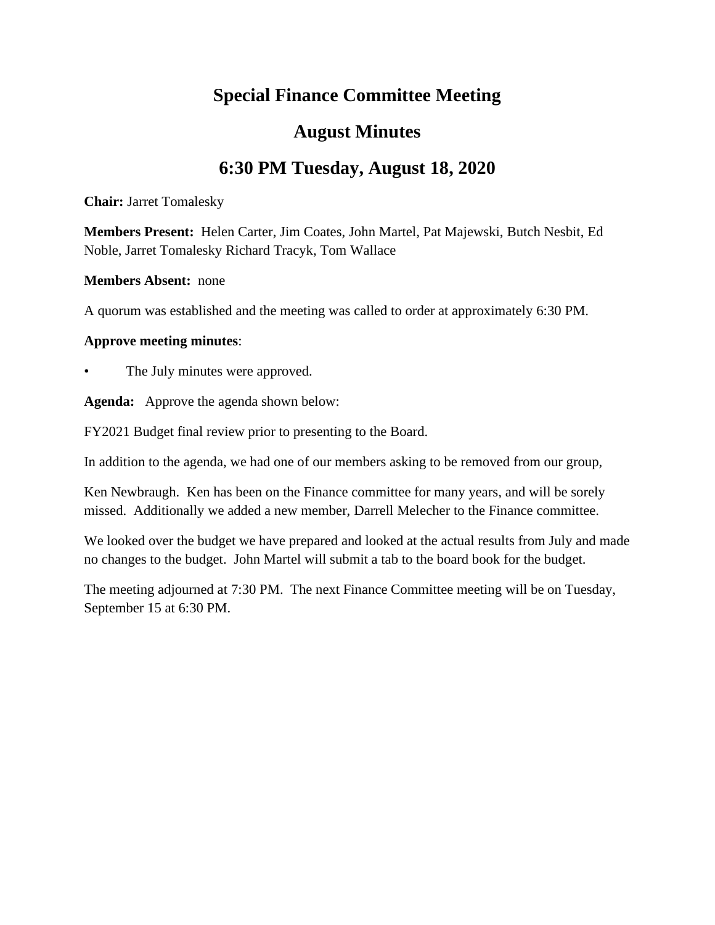# **Special Finance Committee Meeting**

## **August Minutes**

# **6:30 PM Tuesday, August 18, 2020**

**Chair:** Jarret Tomalesky

**Members Present:** Helen Carter, Jim Coates, John Martel, Pat Majewski, Butch Nesbit, Ed Noble, Jarret Tomalesky Richard Tracyk, Tom Wallace

### **Members Absent:** none

A quorum was established and the meeting was called to order at approximately 6:30 PM.

### **Approve meeting minutes**:

The July minutes were approved.

**Agenda:** Approve the agenda shown below:

FY2021 Budget final review prior to presenting to the Board.

In addition to the agenda, we had one of our members asking to be removed from our group,

Ken Newbraugh. Ken has been on the Finance committee for many years, and will be sorely missed. Additionally we added a new member, Darrell Melecher to the Finance committee.

We looked over the budget we have prepared and looked at the actual results from July and made no changes to the budget. John Martel will submit a tab to the board book for the budget.

The meeting adjourned at 7:30 PM. The next Finance Committee meeting will be on Tuesday, September 15 at 6:30 PM.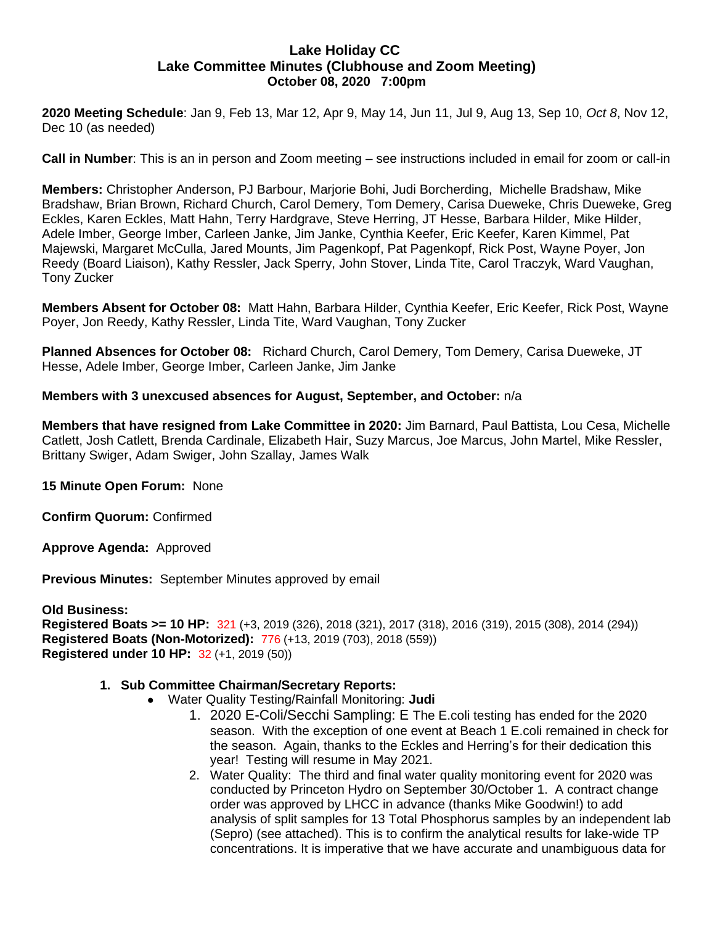### **Lake Holiday CC Lake Committee Minutes (Clubhouse and Zoom Meeting) October 08, 2020 7:00pm**

**2020 Meeting Schedule**: Jan 9, Feb 13, Mar 12, Apr 9, May 14, Jun 11, Jul 9, Aug 13, Sep 10, *Oct 8*, Nov 12, Dec 10 (as needed)

**Call in Number**: This is an in person and Zoom meeting – see instructions included in email for zoom or call-in

**Members:** Christopher Anderson, PJ Barbour, Marjorie Bohi, Judi Borcherding, Michelle Bradshaw, Mike Bradshaw, Brian Brown, Richard Church, Carol Demery, Tom Demery, Carisa Dueweke, Chris Dueweke, Greg Eckles, Karen Eckles, Matt Hahn, Terry Hardgrave, Steve Herring, JT Hesse, Barbara Hilder, Mike Hilder, Adele Imber, George Imber, Carleen Janke, Jim Janke, Cynthia Keefer, Eric Keefer, Karen Kimmel, Pat Majewski, Margaret McCulla, Jared Mounts, Jim Pagenkopf, Pat Pagenkopf, Rick Post, Wayne Poyer, Jon Reedy (Board Liaison), Kathy Ressler, Jack Sperry, John Stover, Linda Tite, Carol Traczyk, Ward Vaughan, Tony Zucker

**Members Absent for October 08:** Matt Hahn, Barbara Hilder, Cynthia Keefer, Eric Keefer, Rick Post, Wayne Poyer, Jon Reedy, Kathy Ressler, Linda Tite, Ward Vaughan, Tony Zucker

**Planned Absences for October 08:** Richard Church, Carol Demery, Tom Demery, Carisa Dueweke, JT Hesse, Adele Imber, George Imber, Carleen Janke, Jim Janke

#### **Members with 3 unexcused absences for August, September, and October:** n/a

**Members that have resigned from Lake Committee in 2020:** Jim Barnard, Paul Battista, Lou Cesa, Michelle Catlett, Josh Catlett, Brenda Cardinale, Elizabeth Hair, Suzy Marcus, Joe Marcus, John Martel, Mike Ressler, Brittany Swiger, Adam Swiger, John Szallay, James Walk

**15 Minute Open Forum:** None

**Confirm Quorum:** Confirmed

**Approve Agenda:** Approved

**Previous Minutes:** September Minutes approved by email

**Old Business: Registered Boats >= 10 HP:** 321 (+3, 2019 (326), 2018 (321), 2017 (318), 2016 (319), 2015 (308), 2014 (294)) **Registered Boats (Non-Motorized):** 776 (+13, 2019 (703), 2018 (559)) **Registered under 10 HP:** 32 (+1, 2019 (50))

#### **1. Sub Committee Chairman/Secretary Reports:**

- Water Quality Testing/Rainfall Monitoring: **Judi**
	- 1. 2020 E-Coli/Secchi Sampling: E The E.coli testing has ended for the 2020 season. With the exception of one event at Beach 1 E.coli remained in check for the season. Again, thanks to the Eckles and Herring's for their dedication this year! Testing will resume in May 2021.
	- 2. Water Quality: The third and final water quality monitoring event for 2020 was conducted by Princeton Hydro on September 30/October 1. A contract change order was approved by LHCC in advance (thanks Mike Goodwin!) to add analysis of split samples for 13 Total Phosphorus samples by an independent lab (Sepro) (see attached). This is to confirm the analytical results for lake-wide TP concentrations. It is imperative that we have accurate and unambiguous data for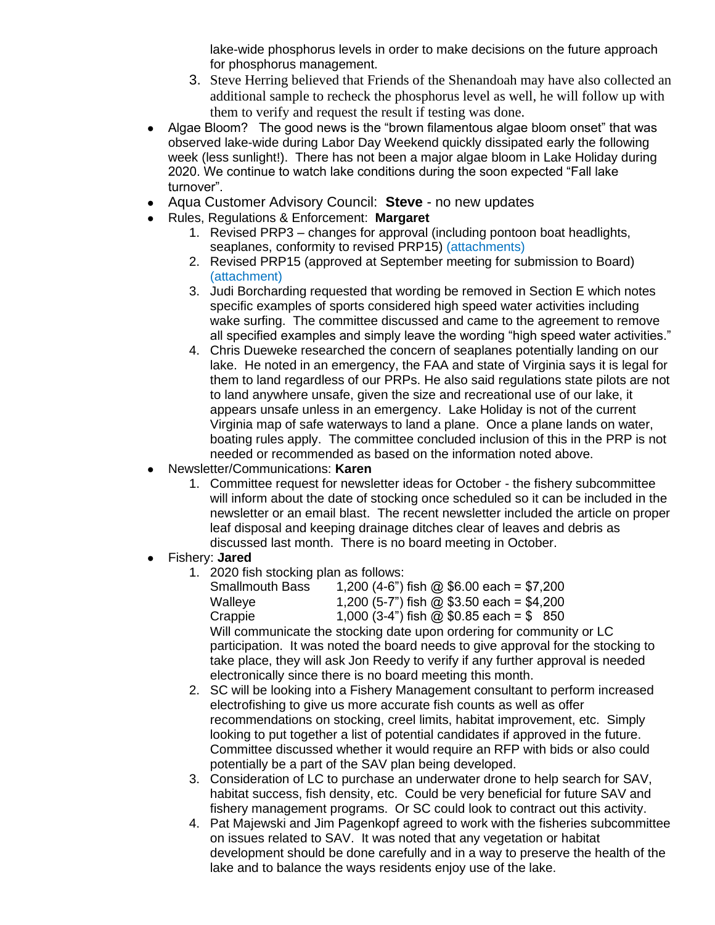lake-wide phosphorus levels in order to make decisions on the future approach for phosphorus management.

- 3. Steve Herring believed that Friends of the Shenandoah may have also collected an additional sample to recheck the phosphorus level as well, he will follow up with them to verify and request the result if testing was done.
- Algae Bloom? The good news is the "brown filamentous algae bloom onset" that was observed lake-wide during Labor Day Weekend quickly dissipated early the following week (less sunlight!). There has not been a major algae bloom in Lake Holiday during 2020. We continue to watch lake conditions during the soon expected "Fall lake turnover".
- Aqua Customer Advisory Council: **Steve** no new updates
- Rules, Regulations & Enforcement: **Margaret**
	- 1. Revised PRP3 changes for approval (including pontoon boat headlights, seaplanes, conformity to revised PRP15) (attachments)
	- 2. Revised PRP15 (approved at September meeting for submission to Board) (attachment)
	- 3. Judi Borcharding requested that wording be removed in Section E which notes specific examples of sports considered high speed water activities including wake surfing. The committee discussed and came to the agreement to remove all specified examples and simply leave the wording "high speed water activities."
	- 4. Chris Dueweke researched the concern of seaplanes potentially landing on our lake. He noted in an emergency, the FAA and state of Virginia says it is legal for them to land regardless of our PRPs. He also said regulations state pilots are not to land anywhere unsafe, given the size and recreational use of our lake, it appears unsafe unless in an emergency. Lake Holiday is not of the current Virginia map of safe waterways to land a plane. Once a plane lands on water, boating rules apply. The committee concluded inclusion of this in the PRP is not needed or recommended as based on the information noted above.
- Newsletter/Communications: **Karen**
	- 1. Committee request for newsletter ideas for October the fishery subcommittee will inform about the date of stocking once scheduled so it can be included in the newsletter or an email blast. The recent newsletter included the article on proper leaf disposal and keeping drainage ditches clear of leaves and debris as discussed last month. There is no board meeting in October.
- Fishery: **Jared**
	- 1. 2020 fish stocking plan as follows:
		- Smallmouth Bass  $1,200$  (4-6") fish @ \$6.00 each = \$7,200 Walleye  $1,200$  (5-7") fish @ \$3.50 each = \$4,200 Crappie  $1,000$  (3-4") fish @ \$0.85 each = \$ 850 Will communicate the stocking date upon ordering for community or LC participation. It was noted the board needs to give approval for the stocking to take place, they will ask Jon Reedy to verify if any further approval is needed electronically since there is no board meeting this month.
	- 2. SC will be looking into a Fishery Management consultant to perform increased electrofishing to give us more accurate fish counts as well as offer recommendations on stocking, creel limits, habitat improvement, etc. Simply looking to put together a list of potential candidates if approved in the future. Committee discussed whether it would require an RFP with bids or also could potentially be a part of the SAV plan being developed.
	- 3. Consideration of LC to purchase an underwater drone to help search for SAV, habitat success, fish density, etc. Could be very beneficial for future SAV and fishery management programs. Or SC could look to contract out this activity.
	- 4. Pat Majewski and Jim Pagenkopf agreed to work with the fisheries subcommittee on issues related to SAV. It was noted that any vegetation or habitat development should be done carefully and in a way to preserve the health of the lake and to balance the ways residents enjoy use of the lake.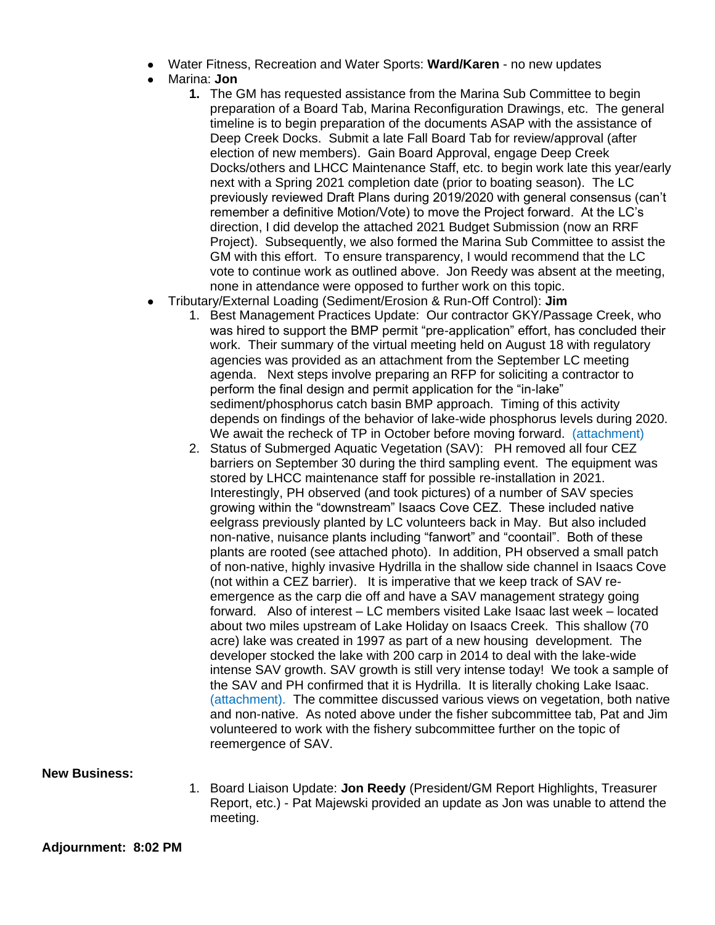- Water Fitness, Recreation and Water Sports: Ward/Karen no new updates
- Marina: **Jon**
	- **1.** The GM has requested assistance from the Marina Sub Committee to begin preparation of a Board Tab, Marina Reconfiguration Drawings, etc. The general timeline is to begin preparation of the documents ASAP with the assistance of Deep Creek Docks. Submit a late Fall Board Tab for review/approval (after election of new members). Gain Board Approval, engage Deep Creek Docks/others and LHCC Maintenance Staff, etc. to begin work late this year/early next with a Spring 2021 completion date (prior to boating season). The LC previously reviewed Draft Plans during 2019/2020 with general consensus (can't remember a definitive Motion/Vote) to move the Project forward. At the LC's direction, I did develop the attached 2021 Budget Submission (now an RRF Project). Subsequently, we also formed the Marina Sub Committee to assist the GM with this effort. To ensure transparency, I would recommend that the LC vote to continue work as outlined above. Jon Reedy was absent at the meeting, none in attendance were opposed to further work on this topic.
- Tributary/External Loading (Sediment/Erosion & Run-Off Control): **Jim**
	- 1. Best Management Practices Update: Our contractor GKY/Passage Creek, who was hired to support the BMP permit "pre-application" effort, has concluded their work. Their summary of the virtual meeting held on August 18 with regulatory agencies was provided as an attachment from the September LC meeting agenda. Next steps involve preparing an RFP for soliciting a contractor to perform the final design and permit application for the "in-lake" sediment/phosphorus catch basin BMP approach. Timing of this activity depends on findings of the behavior of lake-wide phosphorus levels during 2020. We await the recheck of TP in October before moving forward. (attachment)
	- 2. Status of Submerged Aquatic Vegetation (SAV): PH removed all four CEZ barriers on September 30 during the third sampling event. The equipment was stored by LHCC maintenance staff for possible re-installation in 2021. Interestingly, PH observed (and took pictures) of a number of SAV species growing within the "downstream" Isaacs Cove CEZ. These included native eelgrass previously planted by LC volunteers back in May. But also included non-native, nuisance plants including "fanwort" and "coontail". Both of these plants are rooted (see attached photo). In addition, PH observed a small patch of non-native, highly invasive Hydrilla in the shallow side channel in Isaacs Cove (not within a CEZ barrier). It is imperative that we keep track of SAV reemergence as the carp die off and have a SAV management strategy going forward. Also of interest – LC members visited Lake Isaac last week – located about two miles upstream of Lake Holiday on Isaacs Creek. This shallow (70 acre) lake was created in 1997 as part of a new housing development. The developer stocked the lake with 200 carp in 2014 to deal with the lake-wide intense SAV growth. SAV growth is still very intense today! We took a sample of the SAV and PH confirmed that it is Hydrilla. It is literally choking Lake Isaac. (attachment). The committee discussed various views on vegetation, both native and non-native. As noted above under the fisher subcommittee tab, Pat and Jim volunteered to work with the fishery subcommittee further on the topic of reemergence of SAV.

**New Business:** 

1. Board Liaison Update: **Jon Reedy** (President/GM Report Highlights, Treasurer Report, etc.) - Pat Majewski provided an update as Jon was unable to attend the meeting.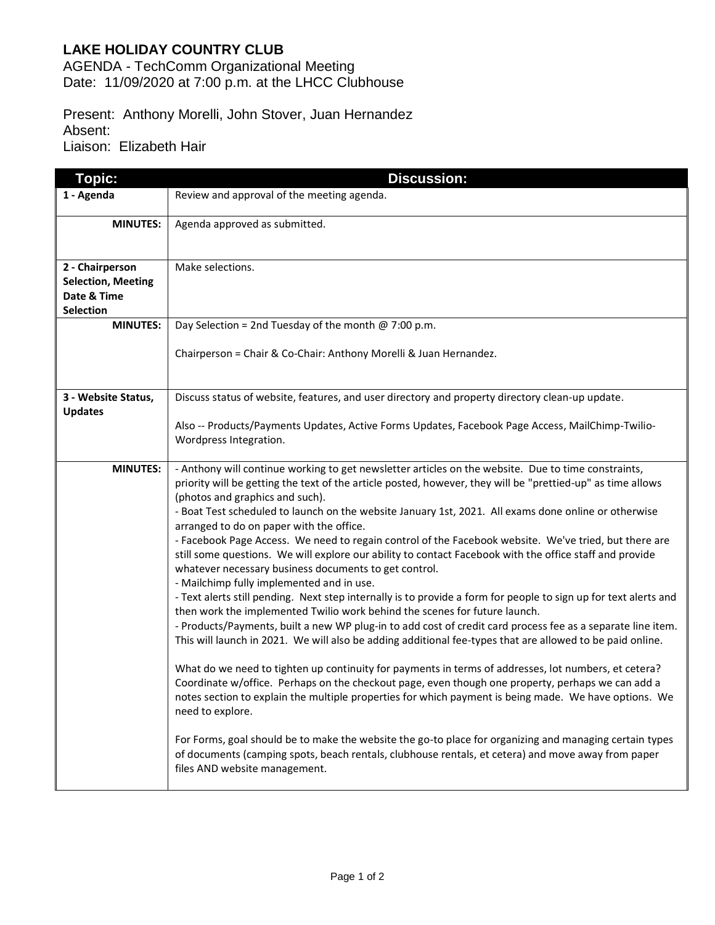### **LAKE HOLIDAY COUNTRY CLUB**

AGENDA - TechComm Organizational Meeting Date: 11/09/2020 at 7:00 p.m. at the LHCC Clubhouse

Present: Anthony Morelli, John Stover, Juan Hernandez Absent: Liaison: Elizabeth Hair

| <b>Topic:</b>                                                                   | <b>Discussion:</b>                                                                                                                                                                                                                                                                                                                                                                                                                                                                                                                                                                                                                                                                                                                                                                                                                                                                                                                                                                                                                                                                                                                                                                                                                                                                                                                                                                                                                                                                                                                                                                                                                                                                                                                                            |
|---------------------------------------------------------------------------------|---------------------------------------------------------------------------------------------------------------------------------------------------------------------------------------------------------------------------------------------------------------------------------------------------------------------------------------------------------------------------------------------------------------------------------------------------------------------------------------------------------------------------------------------------------------------------------------------------------------------------------------------------------------------------------------------------------------------------------------------------------------------------------------------------------------------------------------------------------------------------------------------------------------------------------------------------------------------------------------------------------------------------------------------------------------------------------------------------------------------------------------------------------------------------------------------------------------------------------------------------------------------------------------------------------------------------------------------------------------------------------------------------------------------------------------------------------------------------------------------------------------------------------------------------------------------------------------------------------------------------------------------------------------------------------------------------------------------------------------------------------------|
| 1 - Agenda                                                                      | Review and approval of the meeting agenda.                                                                                                                                                                                                                                                                                                                                                                                                                                                                                                                                                                                                                                                                                                                                                                                                                                                                                                                                                                                                                                                                                                                                                                                                                                                                                                                                                                                                                                                                                                                                                                                                                                                                                                                    |
| <b>MINUTES:</b>                                                                 | Agenda approved as submitted.                                                                                                                                                                                                                                                                                                                                                                                                                                                                                                                                                                                                                                                                                                                                                                                                                                                                                                                                                                                                                                                                                                                                                                                                                                                                                                                                                                                                                                                                                                                                                                                                                                                                                                                                 |
| 2 - Chairperson<br><b>Selection, Meeting</b><br>Date & Time<br><b>Selection</b> | Make selections.                                                                                                                                                                                                                                                                                                                                                                                                                                                                                                                                                                                                                                                                                                                                                                                                                                                                                                                                                                                                                                                                                                                                                                                                                                                                                                                                                                                                                                                                                                                                                                                                                                                                                                                                              |
| <b>MINUTES:</b>                                                                 | Day Selection = 2nd Tuesday of the month $@ 7:00 p.m.$                                                                                                                                                                                                                                                                                                                                                                                                                                                                                                                                                                                                                                                                                                                                                                                                                                                                                                                                                                                                                                                                                                                                                                                                                                                                                                                                                                                                                                                                                                                                                                                                                                                                                                        |
|                                                                                 | Chairperson = Chair & Co-Chair: Anthony Morelli & Juan Hernandez.                                                                                                                                                                                                                                                                                                                                                                                                                                                                                                                                                                                                                                                                                                                                                                                                                                                                                                                                                                                                                                                                                                                                                                                                                                                                                                                                                                                                                                                                                                                                                                                                                                                                                             |
| 3 - Website Status,                                                             | Discuss status of website, features, and user directory and property directory clean-up update.                                                                                                                                                                                                                                                                                                                                                                                                                                                                                                                                                                                                                                                                                                                                                                                                                                                                                                                                                                                                                                                                                                                                                                                                                                                                                                                                                                                                                                                                                                                                                                                                                                                               |
| <b>Updates</b>                                                                  | Also -- Products/Payments Updates, Active Forms Updates, Facebook Page Access, MailChimp-Twilio-<br>Wordpress Integration.                                                                                                                                                                                                                                                                                                                                                                                                                                                                                                                                                                                                                                                                                                                                                                                                                                                                                                                                                                                                                                                                                                                                                                                                                                                                                                                                                                                                                                                                                                                                                                                                                                    |
| <b>MINUTES:</b>                                                                 | - Anthony will continue working to get newsletter articles on the website. Due to time constraints,<br>priority will be getting the text of the article posted, however, they will be "prettied-up" as time allows<br>(photos and graphics and such).<br>- Boat Test scheduled to launch on the website January 1st, 2021. All exams done online or otherwise<br>arranged to do on paper with the office.<br>- Facebook Page Access. We need to regain control of the Facebook website. We've tried, but there are<br>still some questions. We will explore our ability to contact Facebook with the office staff and provide<br>whatever necessary business documents to get control.<br>- Mailchimp fully implemented and in use.<br>- Text alerts still pending. Next step internally is to provide a form for people to sign up for text alerts and<br>then work the implemented Twilio work behind the scenes for future launch.<br>- Products/Payments, built a new WP plug-in to add cost of credit card process fee as a separate line item.<br>This will launch in 2021. We will also be adding additional fee-types that are allowed to be paid online.<br>What do we need to tighten up continuity for payments in terms of addresses, lot numbers, et cetera?<br>Coordinate w/office. Perhaps on the checkout page, even though one property, perhaps we can add a<br>notes section to explain the multiple properties for which payment is being made. We have options. We<br>need to explore.<br>For Forms, goal should be to make the website the go-to place for organizing and managing certain types<br>of documents (camping spots, beach rentals, clubhouse rentals, et cetera) and move away from paper<br>files AND website management. |